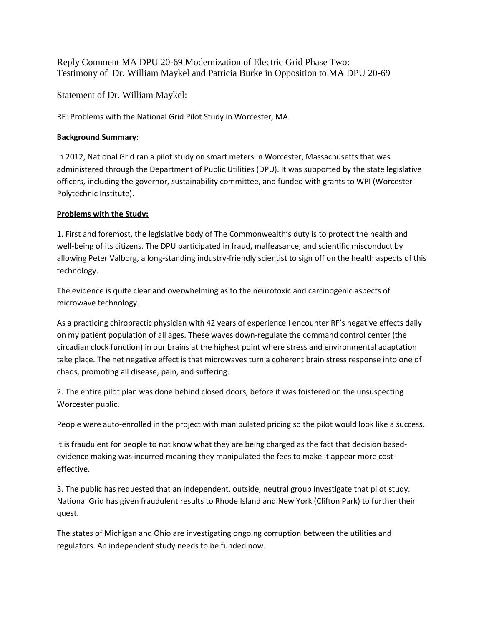Reply Comment MA DPU 20-69 Modernization of Electric Grid Phase Two: Testimony of Dr. William Maykel and Patricia Burke in Opposition to MA DPU 20-69

Statement of Dr. William Maykel:

RE: Problems with the National Grid Pilot Study in Worcester, MA

## **Background Summary:**

In 2012, National Grid ran a pilot study on smart meters in Worcester, Massachusetts that was administered through the Department of Public Utilities (DPU). It was supported by the state legislative officers, including the governor, sustainability committee, and funded with grants to WPI (Worcester Polytechnic Institute).

## **Problems with the Study:**

1. First and foremost, the legislative body of The Commonwealth's duty is to protect the health and well-being of its citizens. The DPU participated in fraud, malfeasance, and scientific misconduct by allowing Peter Valborg, a long-standing industry-friendly scientist to sign off on the health aspects of this technology.

The evidence is quite clear and overwhelming as to the neurotoxic and carcinogenic aspects of microwave technology.

As a practicing chiropractic physician with 42 years of experience I encounter RF's negative effects daily on my patient population of all ages. These waves down-regulate the command control center (the circadian clock function) in our brains at the highest point where stress and environmental adaptation take place. The net negative effect is that microwaves turn a coherent brain stress response into one of chaos, promoting all disease, pain, and suffering.

2. The entire pilot plan was done behind closed doors, before it was foistered on the unsuspecting Worcester public.

People were auto-enrolled in the project with manipulated pricing so the pilot would look like a success.

It is fraudulent for people to not know what they are being charged as the fact that decision basedevidence making was incurred meaning they manipulated the fees to make it appear more costeffective.

3. The public has requested that an independent, outside, neutral group investigate that pilot study. National Grid has given fraudulent results to Rhode Island and New York (Clifton Park) to further their quest.

The states of Michigan and Ohio are investigating ongoing corruption between the utilities and regulators. An independent study needs to be funded now.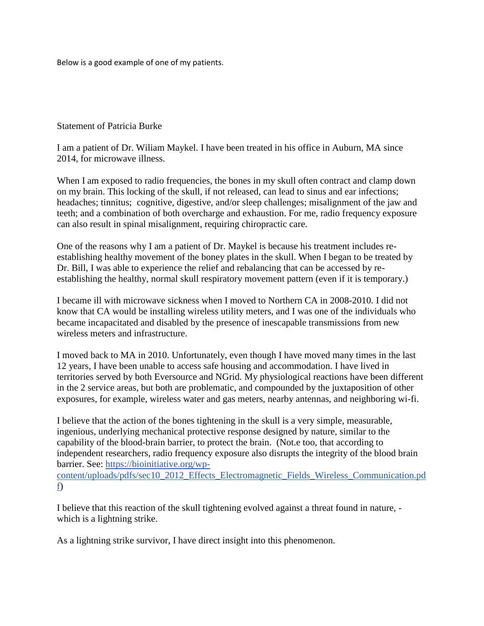Below is a good example of one of my patients.

## Statement of Patricia Burke

I am a patient of Dr. Wiliam Maykel. I have been treated in his office in Auburn, MA since 2014, for microwave illness.

When I am exposed to radio frequencies, the bones in my skull often contract and clamp down on my brain. This locking of the skull, if not released, can lead to sinus and ear infections; headaches; tinnitus; cognitive, digestive, and/or sleep challenges; misalignment of the jaw and teeth; and a combination of both overcharge and exhaustion. For me, radio frequency exposure can also result in spinal misalignment, requiring chiropractic care.

One of the reasons why I am a patient of Dr. Maykel is because his treatment includes reestablishing healthy movement of the boney plates in the skull. When I began to be treated by Dr. Bill, I was able to experience the relief and rebalancing that can be accessed by reestablishing the healthy, normal skull respiratory movement pattern (even if it is temporary.)

I became ill with microwave sickness when I moved to Northern CA in 2008-2010. I did not know that CA would be installing wireless utility meters, and I was one of the individuals who became incapacitated and disabled by the presence of inescapable transmissions from new wireless meters and infrastructure.

I moved back to MA in 2010. Unfortunately, even though I have moved many times in the last 12 years, I have been unable to access safe housing and accommodation. I have lived in territories served by both Eversource and NGrid. My physiological reactions have been different in the 2 service areas, but both are problematic, and compounded by the juxtaposition of other exposures, for example, wireless water and gas meters, nearby antennas, and neighboring wi-fi.

I believe that the action of the bones tightening in the skull is a very simple, measurable, ingenious, underlying mechanical protective response designed by nature, similar to the capability of the blood-brain barrier, to protect the brain. (Not.e too, that according to independent researchers, radio frequency exposure also disrupts the integrity of the blood brain barrier. See: [https://bioinitiative.org/wp](https://bioinitiative.org/wp-content/uploads/pdfs/sec10_2012_Effects_Electromagnetic_Fields_Wireless_Communication.pdf)[content/uploads/pdfs/sec10\\_2012\\_Effects\\_Electromagnetic\\_Fields\\_Wireless\\_Communication.pd](https://bioinitiative.org/wp-content/uploads/pdfs/sec10_2012_Effects_Electromagnetic_Fields_Wireless_Communication.pdf) [f\)](https://bioinitiative.org/wp-content/uploads/pdfs/sec10_2012_Effects_Electromagnetic_Fields_Wireless_Communication.pdf)

I believe that this reaction of the skull tightening evolved against a threat found in nature, which is a lightning strike.

As a lightning strike survivor, I have direct insight into this phenomenon.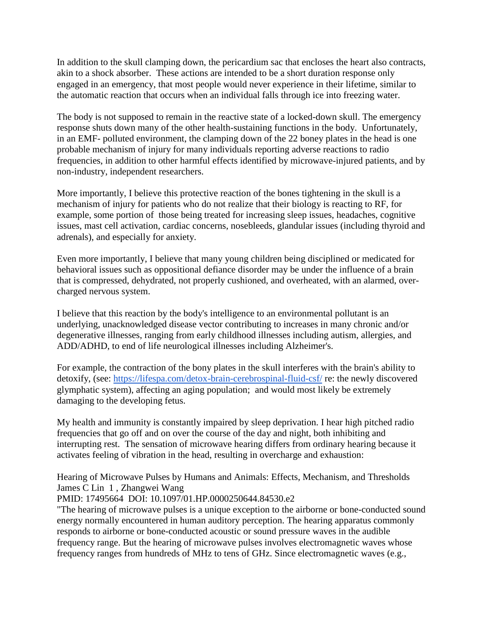In addition to the skull clamping down, the pericardium sac that encloses the heart also contracts, akin to a shock absorber. These actions are intended to be a short duration response only engaged in an emergency, that most people would never experience in their lifetime, similar to the automatic reaction that occurs when an individual falls through ice into freezing water.

The body is not supposed to remain in the reactive state of a locked-down skull. The emergency response shuts down many of the other health-sustaining functions in the body. Unfortunately, in an EMF- polluted environment, the clamping down of the 22 boney plates in the head is one probable mechanism of injury for many individuals reporting adverse reactions to radio frequencies, in addition to other harmful effects identified by microwave-injured patients, and by non-industry, independent researchers.

More importantly, I believe this protective reaction of the bones tightening in the skull is a mechanism of injury for patients who do not realize that their biology is reacting to RF, for example, some portion of those being treated for increasing sleep issues, headaches, cognitive issues, mast cell activation, cardiac concerns, nosebleeds, glandular issues (including thyroid and adrenals), and especially for anxiety.

Even more importantly, I believe that many young children being disciplined or medicated for behavioral issues such as oppositional defiance disorder may be under the influence of a brain that is compressed, dehydrated, not properly cushioned, and overheated, with an alarmed, overcharged nervous system.

I believe that this reaction by the body's intelligence to an environmental pollutant is an underlying, unacknowledged disease vector contributing to increases in many chronic and/or degenerative illnesses, ranging from early childhood illnesses including autism, allergies, and ADD/ADHD, to end of life neurological illnesses including Alzheimer's.

For example, the contraction of the bony plates in the skull interferes with the brain's ability to detoxify, (see: <https://lifespa.com/detox-brain-cerebrospinal-fluid-csf/> re: the newly discovered glymphatic system), affecting an aging population; and would most likely be extremely damaging to the developing fetus.

My health and immunity is constantly impaired by sleep deprivation. I hear high pitched radio frequencies that go off and on over the course of the day and night, both inhibiting and interrupting rest. The sensation of microwave hearing differs from ordinary hearing because it activates feeling of vibration in the head, resulting in overcharge and exhaustion:

Hearing of Microwave Pulses by Humans and Animals: Effects, Mechanism, and Thresholds James C Lin 1 , Zhangwei Wang

## PMID: 17495664 DOI: 10.1097/01.HP.0000250644.84530.e2

"The hearing of microwave pulses is a unique exception to the airborne or bone-conducted sound energy normally encountered in human auditory perception. The hearing apparatus commonly responds to airborne or bone-conducted acoustic or sound pressure waves in the audible frequency range. But the hearing of microwave pulses involves electromagnetic waves whose frequency ranges from hundreds of MHz to tens of GHz. Since electromagnetic waves (e.g.,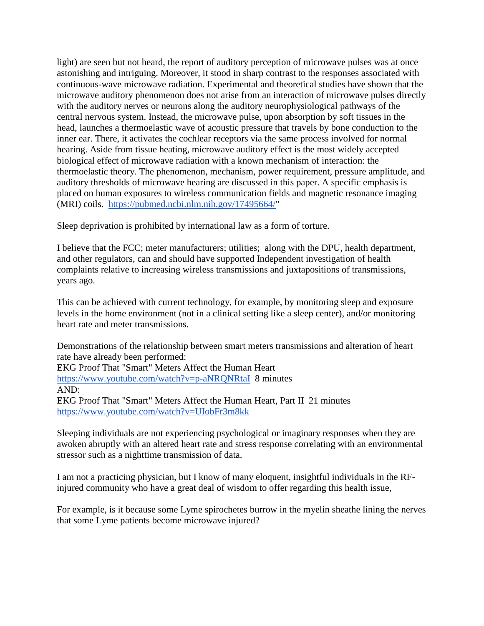light) are seen but not heard, the report of auditory perception of microwave pulses was at once astonishing and intriguing. Moreover, it stood in sharp contrast to the responses associated with continuous-wave microwave radiation. Experimental and theoretical studies have shown that the microwave auditory phenomenon does not arise from an interaction of microwave pulses directly with the auditory nerves or neurons along the auditory neurophysiological pathways of the central nervous system. Instead, the microwave pulse, upon absorption by soft tissues in the head, launches a thermoelastic wave of acoustic pressure that travels by bone conduction to the inner ear. There, it activates the cochlear receptors via the same process involved for normal hearing. Aside from tissue heating, microwave auditory effect is the most widely accepted biological effect of microwave radiation with a known mechanism of interaction: the thermoelastic theory. The phenomenon, mechanism, power requirement, pressure amplitude, and auditory thresholds of microwave hearing are discussed in this paper. A specific emphasis is placed on human exposures to wireless communication fields and magnetic resonance imaging (MRI) coils. [https://pubmed.ncbi.nlm.nih.gov/17495664/"](https://pubmed.ncbi.nlm.nih.gov/17495664/)

Sleep deprivation is prohibited by international law as a form of torture.

I believe that the FCC; meter manufacturers; utilities; along with the DPU, health department, and other regulators, can and should have supported Independent investigation of health complaints relative to increasing wireless transmissions and juxtapositions of transmissions, years ago.

This can be achieved with current technology, for example, by monitoring sleep and exposure levels in the home environment (not in a clinical setting like a sleep center), and/or monitoring heart rate and meter transmissions.

Demonstrations of the relationship between smart meters transmissions and alteration of heart rate have already been performed: EKG Proof That "Smart" Meters Affect the Human Heart <https://www.youtube.com/watch?v=p-aNRQNRtaI>8 minutes AND: EKG Proof That "Smart" Meters Affect the Human Heart, Part II 21 minutes <https://www.youtube.com/watch?v=UIobFr3m8kk>

Sleeping individuals are not experiencing psychological or imaginary responses when they are awoken abruptly with an altered heart rate and stress response correlating with an environmental stressor such as a nighttime transmission of data.

I am not a practicing physician, but I know of many eloquent, insightful individuals in the RFinjured community who have a great deal of wisdom to offer regarding this health issue,

For example, is it because some Lyme spirochetes burrow in the myelin sheathe lining the nerves that some Lyme patients become microwave injured?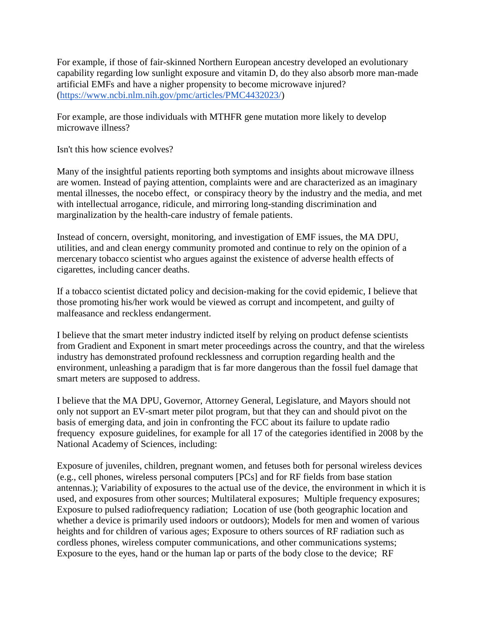For example, if those of fair-skinned Northern European ancestry developed an evolutionary capability regarding low sunlight exposure and vitamin D, do they also absorb more man-made artificial EMFs and have a nigher propensity to become microwave injured? [\(https://www.ncbi.nlm.nih.gov/pmc/articles/PMC4432023/\)](https://www.ncbi.nlm.nih.gov/pmc/articles/PMC4432023/)

For example, are those individuals with MTHFR gene mutation more likely to develop microwave illness?

Isn't this how science evolves?

Many of the insightful patients reporting both symptoms and insights about microwave illness are women. Instead of paying attention, complaints were and are characterized as an imaginary mental illnesses, the nocebo effect, or conspiracy theory by the industry and the media, and met with intellectual arrogance, ridicule, and mirroring long-standing discrimination and marginalization by the health-care industry of female patients.

Instead of concern, oversight, monitoring, and investigation of EMF issues, the MA DPU, utilities, and and clean energy community promoted and continue to rely on the opinion of a mercenary tobacco scientist who argues against the existence of adverse health effects of cigarettes, including cancer deaths.

If a tobacco scientist dictated policy and decision-making for the covid epidemic, I believe that those promoting his/her work would be viewed as corrupt and incompetent, and guilty of malfeasance and reckless endangerment.

I believe that the smart meter industry indicted itself by relying on product defense scientists from Gradient and Exponent in smart meter proceedings across the country, and that the wireless industry has demonstrated profound recklessness and corruption regarding health and the environment, unleashing a paradigm that is far more dangerous than the fossil fuel damage that smart meters are supposed to address.

I believe that the MA DPU, Governor, Attorney General, Legislature, and Mayors should not only not support an EV-smart meter pilot program, but that they can and should pivot on the basis of emerging data, and join in confronting the FCC about its failure to update radio frequency exposure guidelines, for example for all 17 of the categories identified in 2008 by the National Academy of Sciences, including:

Exposure of juveniles, children, pregnant women, and fetuses both for personal wireless devices (e.g., cell phones, wireless personal computers [PCs] and for RF fields from base station antennas.); Variability of exposures to the actual use of the device, the environment in which it is used, and exposures from other sources; Multilateral exposures; Multiple frequency exposures; Exposure to pulsed radiofrequency radiation; Location of use (both geographic location and whether a device is primarily used indoors or outdoors); Models for men and women of various heights and for children of various ages; Exposure to others sources of RF radiation such as cordless phones, wireless computer communications, and other communications systems; Exposure to the eyes, hand or the human lap or parts of the body close to the device; RF